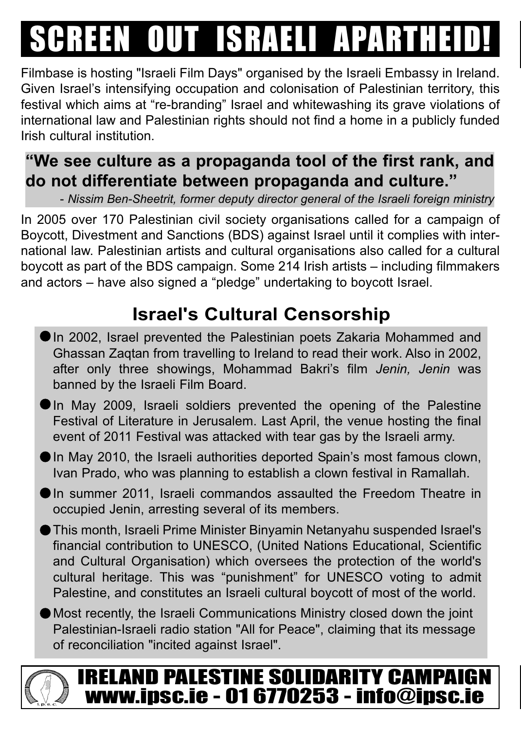## SCREEN OUT ISRAELI APARTHEID

Filmbase is hosting "Israeli Film Days" organised by the Israeli Embassy in Ireland. Given Israel's intensifying occupation and colonisation of Palestinian territory, this festival which aims at "re-branding" Israel and whitewashing its grave violations of international law and Palestinian rights should not find a home in a publicly funded Irish cultural institution.

#### **"We see culture as a propaganda tool of the first rank, and do not differentiate between propaganda and culture."**

- *Nissim Ben-Sheetrit, former deputy director general of the Israeli foreign ministry*

In 2005 over 170 Palestinian civil society organisations called for a campaign of Boycott, Divestment and Sanctions (BDS) against Israel until it complies with international law. Palestinian artists and cultural organisations also called for a cultural boycott as part of the BDS campaign. Some 214 Irish artists – including filmmakers and actors – have also signed a "pledge" undertaking to boycott Israel.

### **Israel's Cultural Censorship**

- In 2002, Israel prevented the Palestinian poets Zakaria Mohammed and Ghassan Zaqtan from travelling to Ireland to read their work. Also in 2002, after only three showings, Mohammad Bakri's film *Jenin, Jenin* was banned by the Israeli Film Board.
- In May 2009, Israeli soldiers prevented the opening of the Palestine Festival of Literature in Jerusalem. Last April, the venue hosting the final event of 2011 Festival was attacked with tear gas by the Israeli army.
- In May 2010, the Israeli authorities deported Spain's most famous clown, Ivan Prado, who was planning to establish a clown festival in Ramallah.
- In summer 2011, Israeli commandos assaulted the Freedom Theatre in occupied Jenin, arresting several of its members.
- This month, Israeli Prime Minister Binyamin Netanyahu suspended Israel's financial contribution to UNESCO, (United Nations Educational, Scientific and Cultural Organisation) which oversees the protection of the world's cultural heritage. This was "punishment" for UNESCO voting to admit Palestine, and constitutes an Israeli cultural boycott of most of the world.
- Most recently, the Israeli Communications Ministry closed down the joint Palestinian-Israeli radio station "All for Peace", claiming that its message of reconciliation "incited against Israel".

### IRELAND PALESTINE SOLIDARITY CAMPAIGN www.ipsc.ie - 01 6770253 - info@ipsc.ie